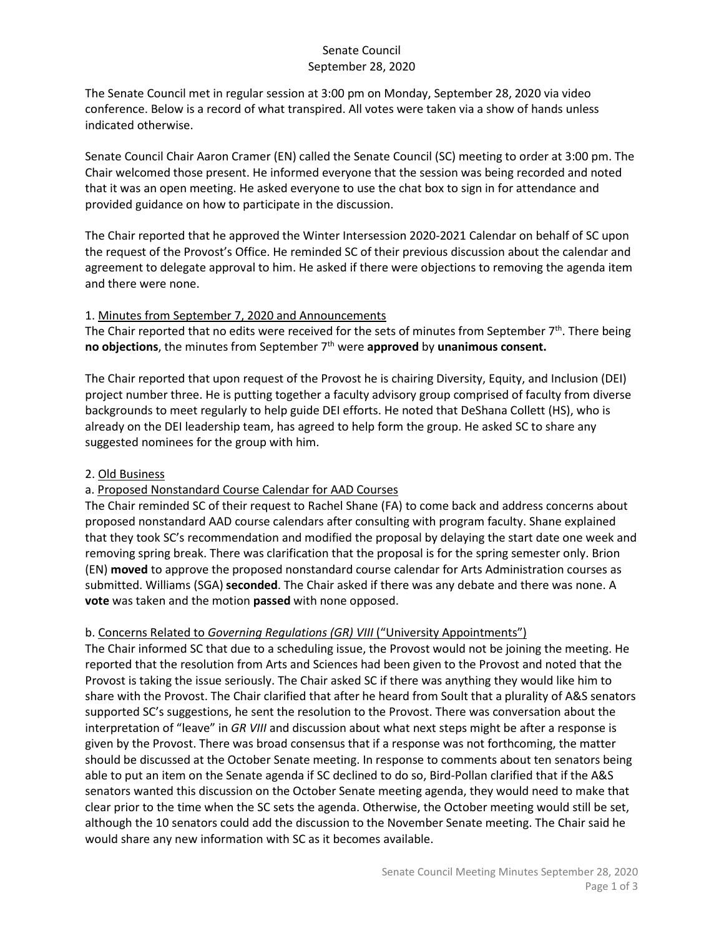# Senate Council September 28, 2020

The Senate Council met in regular session at 3:00 pm on Monday, September 28, 2020 via video conference. Below is a record of what transpired. All votes were taken via a show of hands unless indicated otherwise.

Senate Council Chair Aaron Cramer (EN) called the Senate Council (SC) meeting to order at 3:00 pm. The Chair welcomed those present. He informed everyone that the session was being recorded and noted that it was an open meeting. He asked everyone to use the chat box to sign in for attendance and provided guidance on how to participate in the discussion.

The Chair reported that he approved the Winter Intersession 2020-2021 Calendar on behalf of SC upon the request of the Provost's Office. He reminded SC of their previous discussion about the calendar and agreement to delegate approval to him. He asked if there were objections to removing the agenda item and there were none.

## 1. Minutes from September 7, 2020 and Announcements

The Chair reported that no edits were received for the sets of minutes from September  $7<sup>th</sup>$ . There being **no objections**, the minutes from September 7th were **approved** by **unanimous consent.**

The Chair reported that upon request of the Provost he is chairing Diversity, Equity, and Inclusion (DEI) project number three. He is putting together a faculty advisory group comprised of faculty from diverse backgrounds to meet regularly to help guide DEI efforts. He noted that DeShana Collett (HS), who is already on the DEI leadership team, has agreed to help form the group. He asked SC to share any suggested nominees for the group with him.

### 2. Old Business

## a. Proposed Nonstandard Course Calendar for AAD Courses

The Chair reminded SC of their request to Rachel Shane (FA) to come back and address concerns about proposed nonstandard AAD course calendars after consulting with program faculty. Shane explained that they took SC's recommendation and modified the proposal by delaying the start date one week and removing spring break. There was clarification that the proposal is for the spring semester only. Brion (EN) **moved** to approve the proposed nonstandard course calendar for Arts Administration courses as submitted. Williams (SGA) **seconded**. The Chair asked if there was any debate and there was none. A **vote** was taken and the motion **passed** with none opposed.

## b. Concerns Related to *Governing Regulations (GR) VIII* ("University Appointments")

The Chair informed SC that due to a scheduling issue, the Provost would not be joining the meeting. He reported that the resolution from Arts and Sciences had been given to the Provost and noted that the Provost is taking the issue seriously. The Chair asked SC if there was anything they would like him to share with the Provost. The Chair clarified that after he heard from Soult that a plurality of A&S senators supported SC's suggestions, he sent the resolution to the Provost. There was conversation about the interpretation of "leave" in *GR VIII* and discussion about what next steps might be after a response is given by the Provost. There was broad consensus that if a response was not forthcoming, the matter should be discussed at the October Senate meeting. In response to comments about ten senators being able to put an item on the Senate agenda if SC declined to do so, Bird-Pollan clarified that if the A&S senators wanted this discussion on the October Senate meeting agenda, they would need to make that clear prior to the time when the SC sets the agenda. Otherwise, the October meeting would still be set, although the 10 senators could add the discussion to the November Senate meeting. The Chair said he would share any new information with SC as it becomes available.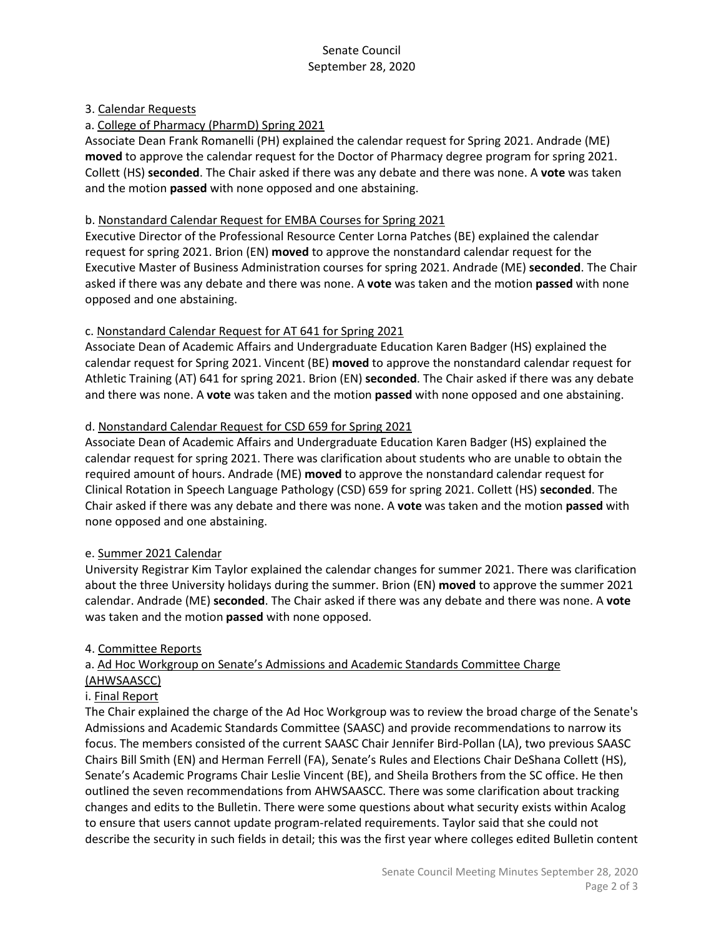## 3. Calendar Requests

## a. College of Pharmacy (PharmD) Spring 2021

Associate Dean Frank Romanelli (PH) explained the calendar request for Spring 2021. Andrade (ME) **moved** to approve the calendar request for the Doctor of Pharmacy degree program for spring 2021. Collett (HS) **seconded**. The Chair asked if there was any debate and there was none. A **vote** was taken and the motion **passed** with none opposed and one abstaining.

#### b. Nonstandard Calendar Request for EMBA Courses for Spring 2021

Executive Director of the Professional Resource Center Lorna Patches (BE) explained the calendar request for spring 2021. Brion (EN) **moved** to approve the nonstandard calendar request for the Executive Master of Business Administration courses for spring 2021. Andrade (ME) **seconded**. The Chair asked if there was any debate and there was none. A **vote** was taken and the motion **passed** with none opposed and one abstaining.

### c. Nonstandard Calendar Request for AT 641 for Spring 2021

Associate Dean of Academic Affairs and Undergraduate Education Karen Badger (HS) explained the calendar request for Spring 2021. Vincent (BE) **moved** to approve the nonstandard calendar request for Athletic Training (AT) 641 for spring 2021. Brion (EN) **seconded**. The Chair asked if there was any debate and there was none. A **vote** was taken and the motion **passed** with none opposed and one abstaining.

### d. Nonstandard Calendar Request for CSD 659 for Spring 2021

Associate Dean of Academic Affairs and Undergraduate Education Karen Badger (HS) explained the calendar request for spring 2021. There was clarification about students who are unable to obtain the required amount of hours. Andrade (ME) **moved** to approve the nonstandard calendar request for Clinical Rotation in Speech Language Pathology (CSD) 659 for spring 2021. Collett (HS) **seconded**. The Chair asked if there was any debate and there was none. A **vote** was taken and the motion **passed** with none opposed and one abstaining.

#### e. Summer 2021 Calendar

University Registrar Kim Taylor explained the calendar changes for summer 2021. There was clarification about the three University holidays during the summer. Brion (EN) **moved** to approve the summer 2021 calendar. Andrade (ME) **seconded**. The Chair asked if there was any debate and there was none. A **vote** was taken and the motion **passed** with none opposed.

#### 4. Committee Reports

### a. Ad Hoc Workgroup on Senate's Admissions and Academic Standards Committee Charge (AHWSAASCC)

## i. Final Report

The Chair explained the charge of the Ad Hoc Workgroup was to review the broad charge of the Senate's Admissions and Academic Standards Committee (SAASC) and provide recommendations to narrow its focus. The members consisted of the current SAASC Chair Jennifer Bird-Pollan (LA), two previous SAASC Chairs Bill Smith (EN) and Herman Ferrell (FA), Senate's Rules and Elections Chair DeShana Collett (HS), Senate's Academic Programs Chair Leslie Vincent (BE), and Sheila Brothers from the SC office. He then outlined the seven recommendations from AHWSAASCC. There was some clarification about tracking changes and edits to the Bulletin. There were some questions about what security exists within Acalog to ensure that users cannot update program-related requirements. Taylor said that she could not describe the security in such fields in detail; this was the first year where colleges edited Bulletin content